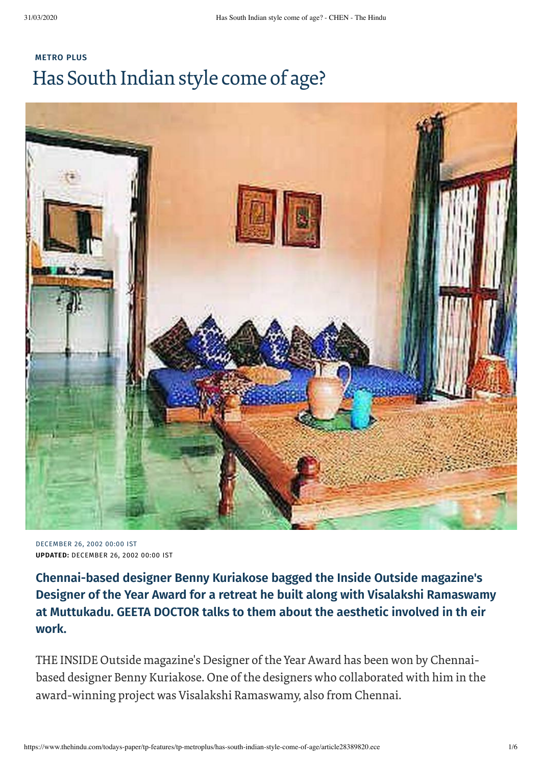## **[METRO](https://www.thehindu.com/todays-paper/tp-features/tp-metroplus/) PLUS** Has South Indian style come of age?



DECEMBER 26, 2002 00:00 IST **UPDATED:** DECEMBER 26, 2002 00:00 IST

**Chennai-based designer Benny Kuriakose bagged the Inside Outside magazine's Designer of the Year Award for a retreat he built along with Visalakshi Ramaswamy at Muttukadu. GEETA DOCTOR talks to them about the aesthetic involved in th eir work.**

THE INSIDE Outside magazine's Designer of the Year Award has been won by Chennaibased designer Benny Kuriakose. One of the designers who collaborated with him in the award-winning project was Visalakshi Ramaswamy, also from Chennai.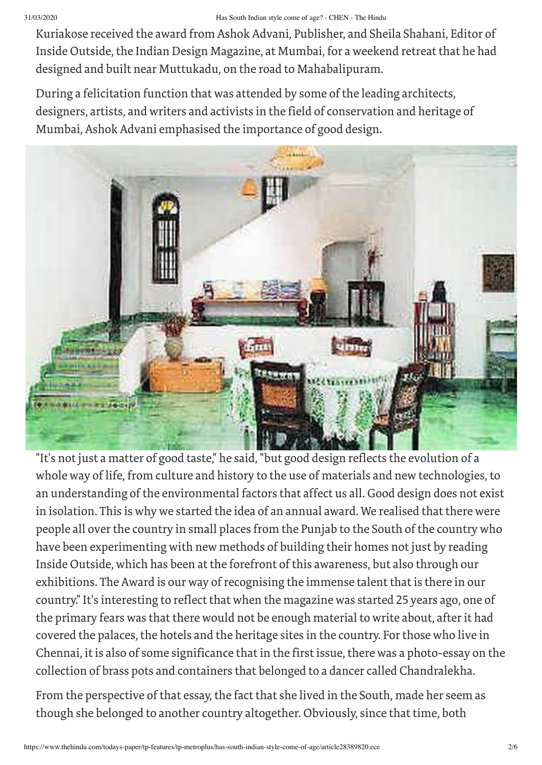## 31/03/2020 Has South Indian style come of age? - CHEN - The Hindu

Kuriakose received the award from Ashok Advani, Publisher, and Sheila Shahani, Editor of Inside Outside, the Indian Design Magazine, at Mumbai, for a weekend retreat that he had designed and built near Muttukadu, on the road to Mahabalipuram.

During a felicitation function that was attended by some of the leading architects, designers, artists, and writers and activists in the field of conservation and heritage of Mumbai, Ashok Advani emphasised the importance of good design.



"It's not just a matter of good taste," he said, "but good design reflects the evolution of a whole way of life, from culture and history to the use of materials and new technologies, to an understanding of the environmental factors that affect us all. Good design does not exist in isolation. This is why we started the idea of an annual award. We realised that there were people all over the country in small places from the Punjab to the South of the country who have been experimenting with new methods of building their homes not just by reading Inside Outside, which has been at the forefront of this awareness, but also through our exhibitions. The Award is our way of recognising the immense talent that is there in our country." It's interesting to reflect that when the magazine was started 25 years ago, one of the primary fears was that there would not be enough material to write about, afterit had covered the palaces, the hotels and the heritage sites in the country. For those who live in Chennai, it is also of some significance that in the first issue, there was a photo-essay on the collection of brass pots and containers that belonged to a dancer called Chandralekha.

From the perspective of that essay, the fact that she lived in the South, made her seem as though she belonged to another country altogether. Obviously, since that time, both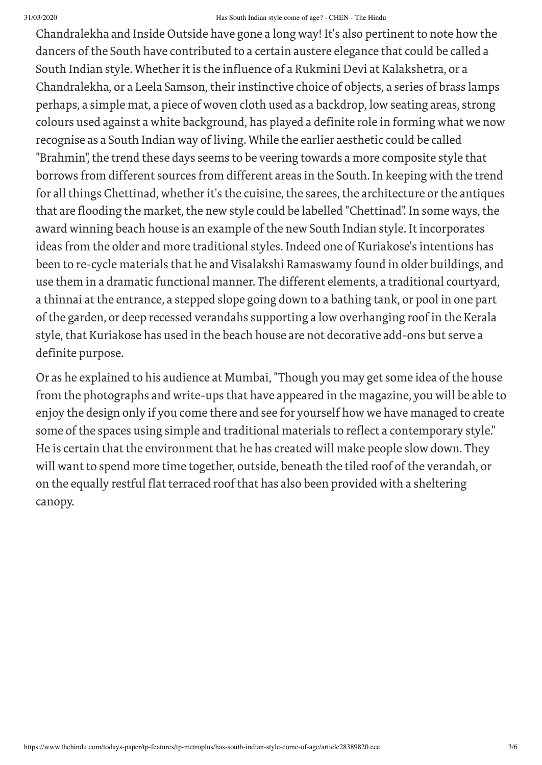## 31/03/2020 Has South Indian style come of age? - CHEN - The Hindu

Chandralekha and Inside Outside have gone a long way! It's also pertinent to note how the dancers of the South have contributed to a certain austere elegance that could be called a South Indian style. Whether it is the influence of a Rukmini Devi at Kalakshetra, or a Chandralekha, or a Leela Samson, their instinctive choice of objects, a series of brass lamps perhaps, a simple mat, a piece of woven cloth used as a backdrop, low seating areas, strong colours used against a white background, has played a definite role in forming what we now recognise as a South Indian way of living. While the earlier aesthetic could be called "Brahmin", the trend these days seems to be veering towards a more composite style that borrows from different sources from different areas in the South. In keeping with the trend for all things Chettinad, whether it's the cuisine, the sarees, the architecture or the antiques that are flooding the market, the new style could be labelled "Chettinad". In some ways, the award winning beach house is an example of the new South Indian style. It incorporates ideas from the older and more traditional styles. Indeed one of Kuriakose's intentions has been to re-cycle materials that he and Visalakshi Ramaswamy found in older buildings, and use them in a dramatic functional manner. The different elements, a traditional courtyard, a thinnai at the entrance, a stepped slope going down to a bathing tank, or pool in one part of the garden, or deep recessed verandahs supporting a low overhanging roof in the Kerala style, that Kuriakose has used in the beach house are not decorative add-ons but serve a definite purpose.

Or as he explained to his audience at Mumbai, "Though you may get some idea of the house from the photographs and write-ups that have appeared in the magazine, you will be able to enjoy the design only if you come there and see for yourself how we have managed to create some of the spaces using simple and traditional materials to reflect a contemporary style." He is certain that the environment that he has created will make people slow down. They will want to spend more time together, outside, beneath the tiled roof of the verandah, or on the equally restful flat terraced roof that has also been provided with a sheltering canopy.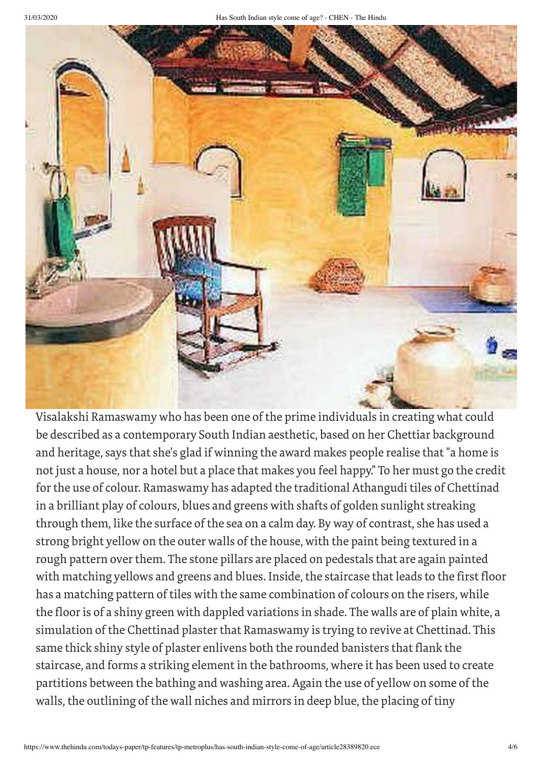

Visalakshi Ramaswamy who has been one of the prime individuals in creating what could be described as a contemporary South Indian aesthetic, based on her Chettiar background and heritage, says that she's glad if winning the award makes people realise that "a home is not just a house, nor a hotel but a place that makes you feel happy." To her must go the credit forthe use of colour. Ramaswamy has adapted the traditional Athangudi tiles of Chettinad in a brilliant play of colours, blues and greens with shafts of golden sunlight streaking through them, like the surface of the sea on a calm day. By way of contrast, she has used a strong bright yellow on the outer walls of the house, with the paint being textured in a rough pattern over them. The stone pillars are placed on pedestals that are again painted with matching yellows and greens and blues. Inside, the staircase that leads to the first floor has a matching pattern of tiles with the same combination of colours on the risers, while the floor is of a shiny green with dappled variations in shade. The walls are of plain white, a simulation of the Chettinad plaster that Ramaswamy is trying to revive at Chettinad. This same thick shiny style of plaster enlivens both the rounded banisters that flank the staircase, and forms a striking element in the bathrooms, where it has been used to create partitions between the bathing and washing area. Again the use of yellow on some of the walls, the outlining of the wall niches and mirrors in deep blue, the placing of tiny